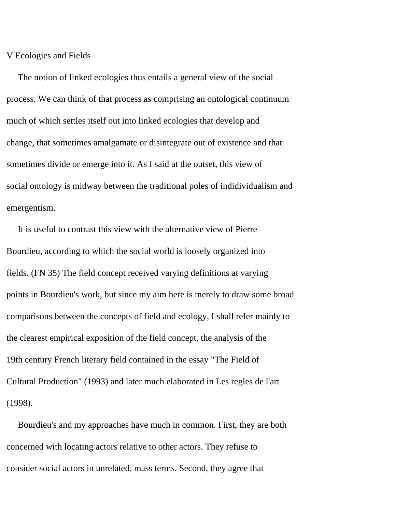V Ecologies and Fields

 The notion of linked ecologies thus entails a general view of the social process. We can think of that process as comprising an ontological continuum much of which settles itself out into linked ecologies that develop and change, that sometimes amalgamate or disintegrate out of existence and that sometimes divide or emerge into it. As I said at the outset, this view of social ontology is midway between the traditional poles of indidividualism and emergentism.

 It is useful to contrast this view with the alternative view of Pierre Bourdieu, according to which the social world is loosely organized into fields. (FN 35) The field concept received varying definitions at varying points in Bourdieu's work, but since my aim here is merely to draw some broad comparisons between the concepts of field and ecology, I shall refer mainly to the clearest empirical exposition of the field concept, the analysis of the 19th century French literary field contained in the essay "The Field of Cultural Production" (1993) and later much elaborated in Les regles de l'art (1998).

 Bourdieu's and my approaches have much in common. First, they are both concerned with locating actors relative to other actors. They refuse to consider social actors in unrelated, mass terms. Second, they agree that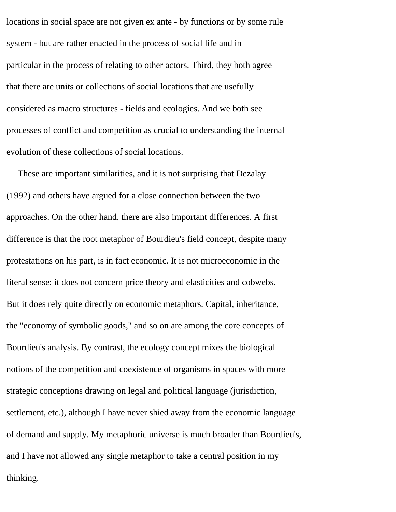locations in social space are not given ex ante - by functions or by some rule system - but are rather enacted in the process of social life and in particular in the process of relating to other actors. Third, they both agree that there are units or collections of social locations that are usefully considered as macro structures - fields and ecologies. And we both see processes of conflict and competition as crucial to understanding the internal evolution of these collections of social locations.

 These are important similarities, and it is not surprising that Dezalay (1992) and others have argued for a close connection between the two approaches. On the other hand, there are also important differences. A first difference is that the root metaphor of Bourdieu's field concept, despite many protestations on his part, is in fact economic. It is not microeconomic in the literal sense; it does not concern price theory and elasticities and cobwebs. But it does rely quite directly on economic metaphors. Capital, inheritance, the "economy of symbolic goods," and so on are among the core concepts of Bourdieu's analysis. By contrast, the ecology concept mixes the biological notions of the competition and coexistence of organisms in spaces with more strategic conceptions drawing on legal and political language (jurisdiction, settlement, etc.), although I have never shied away from the economic language of demand and supply. My metaphoric universe is much broader than Bourdieu's, and I have not allowed any single metaphor to take a central position in my thinking.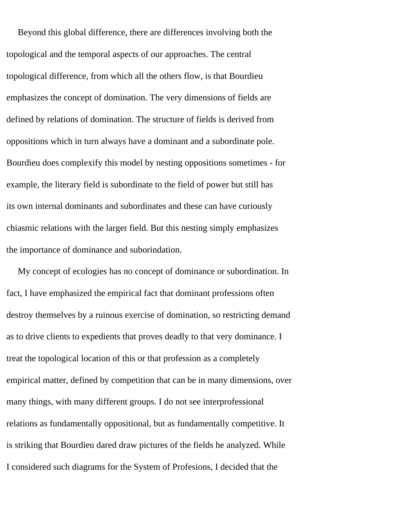Beyond this global difference, there are differences involving both the topological and the temporal aspects of our approaches. The central topological difference, from which all the others flow, is that Bourdieu emphasizes the concept of domination. The very dimensions of fields are defined by relations of domination. The structure of fields is derived from oppositions which in turn always have a dominant and a subordinate pole. Bourdieu does complexify this model by nesting oppositions sometimes - for example, the literary field is subordinate to the field of power but still has its own internal dominants and subordinates and these can have curiously chiasmic relations with the larger field. But this nesting simply emphasizes the importance of dominance and suborindation.

 My concept of ecologies has no concept of dominance or subordination. In fact, I have emphasized the empirical fact that dominant professions often destroy themselves by a ruinous exercise of domination, so restricting demand as to drive clients to expedients that proves deadly to that very dominance. I treat the topological location of this or that profession as a completely empirical matter, defined by competition that can be in many dimensions, over many things, with many different groups. I do not see interprofessional relations as fundamentally oppositional, but as fundamentally competitive. It is striking that Bourdieu dared draw pictures of the fields he analyzed. While I considered such diagrams for the System of Profesions, I decided that the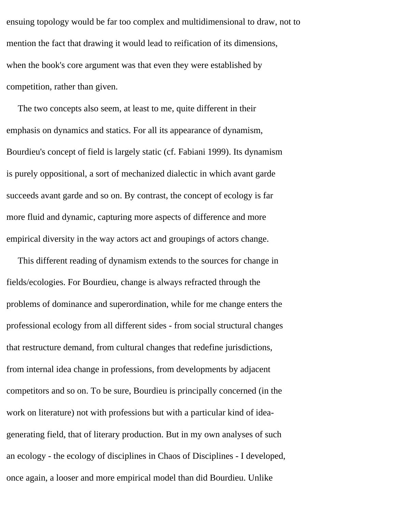ensuing topology would be far too complex and multidimensional to draw, not to mention the fact that drawing it would lead to reification of its dimensions, when the book's core argument was that even they were established by competition, rather than given.

 The two concepts also seem, at least to me, quite different in their emphasis on dynamics and statics. For all its appearance of dynamism, Bourdieu's concept of field is largely static (cf. Fabiani 1999). Its dynamism is purely oppositional, a sort of mechanized dialectic in which avant garde succeeds avant garde and so on. By contrast, the concept of ecology is far more fluid and dynamic, capturing more aspects of difference and more empirical diversity in the way actors act and groupings of actors change.

 This different reading of dynamism extends to the sources for change in fields/ecologies. For Bourdieu, change is always refracted through the problems of dominance and superordination, while for me change enters the professional ecology from all different sides - from social structural changes that restructure demand, from cultural changes that redefine jurisdictions, from internal idea change in professions, from developments by adjacent competitors and so on. To be sure, Bourdieu is principally concerned (in the work on literature) not with professions but with a particular kind of ideagenerating field, that of literary production. But in my own analyses of such an ecology - the ecology of disciplines in Chaos of Disciplines - I developed, once again, a looser and more empirical model than did Bourdieu. Unlike